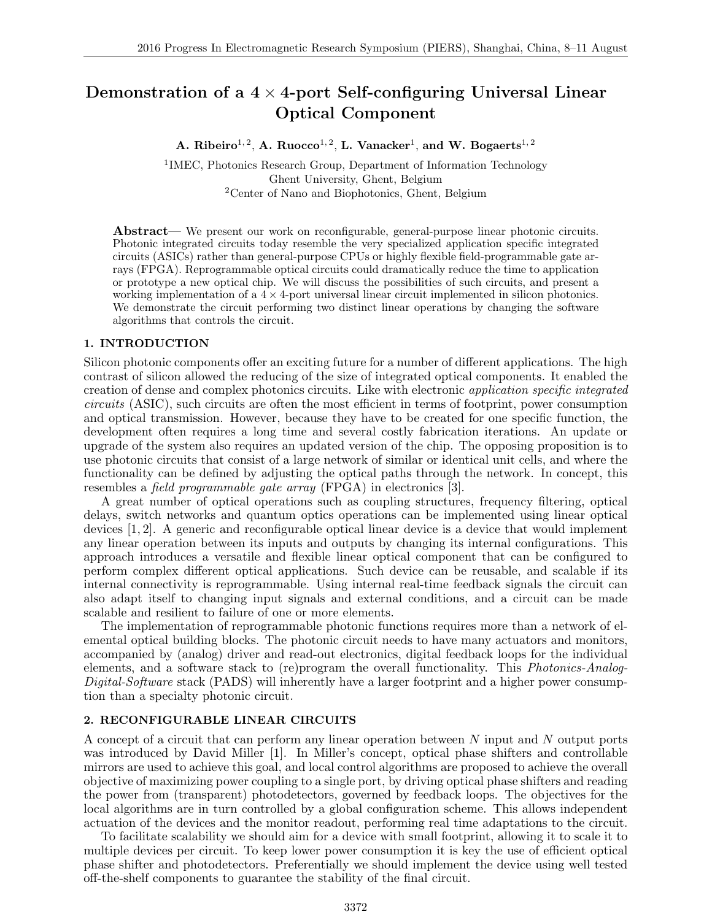# **Demonstration of a 4** *×* **4-port Self-configuring Universal Linear Optical Component**

A. Ribeiro<sup>1, 2</sup>, A. Ruocco<sup>1, 2</sup>, L. Vanacker<sup>1</sup>, and W. Bogaerts<sup>1, 2</sup>

<sup>1</sup>IMEC, Photonics Research Group, Department of Information Technology Ghent University, Ghent, Belgium <sup>2</sup>Center of Nano and Biophotonics, Ghent, Belgium

Abstract— We present our work on reconfigurable, general-purpose linear photonic circuits. Photonic integrated circuits today resemble the very specialized application specific integrated circuits (ASICs) rather than general-purpose CPUs or highly flexible field-programmable gate arrays (FPGA). Reprogrammable optical circuits could dramatically reduce the time to application or prototype a new optical chip. We will discuss the possibilities of such circuits, and present a working implementation of a  $4 \times 4$ -port universal linear circuit implemented in silicon photonics. We demonstrate the circuit performing two distinct linear operations by changing the software algorithms that controls the circuit.

## **1. INTRODUCTION**

Silicon photonic components offer an exciting future for a number of different applications. The high contrast of silicon allowed the reducing of the size of integrated optical components. It enabled the creation of dense and complex photonics circuits. Like with electronic *application specific integrated circuits* (ASIC), such circuits are often the most efficient in terms of footprint, power consumption and optical transmission. However, because they have to be created for one specific function, the development often requires a long time and several costly fabrication iterations. An update or upgrade of the system also requires an updated version of the chip. The opposing proposition is to use photonic circuits that consist of a large network of similar or identical unit cells, and where the functionality can be defined by adjusting the optical paths through the network. In concept, this resembles a *field programmable gate array* (FPGA) in electronics [3].

A great number of optical operations such as coupling structures, frequency filtering, optical delays, switch networks and quantum optics operations can be implemented using linear optical devices [1, 2]. A generic and reconfigurable optical linear device is a device that would implement any linear operation between its inputs and outputs by changing its internal configurations. This approach introduces a versatile and flexible linear optical component that can be configured to perform complex different optical applications. Such device can be reusable, and scalable if its internal connectivity is reprogrammable. Using internal real-time feedback signals the circuit can also adapt itself to changing input signals and external conditions, and a circuit can be made scalable and resilient to failure of one or more elements.

The implementation of reprogrammable photonic functions requires more than a network of elemental optical building blocks. The photonic circuit needs to have many actuators and monitors, accompanied by (analog) driver and read-out electronics, digital feedback loops for the individual elements, and a software stack to (re)program the overall functionality. This *Photonics-Analog-Digital-Software* stack (PADS) will inherently have a larger footprint and a higher power consumption than a specialty photonic circuit.

### **2. RECONFIGURABLE LINEAR CIRCUITS**

A concept of a circuit that can perform any linear operation between *N* input and *N* output ports was introduced by David Miller [1]. In Miller's concept, optical phase shifters and controllable mirrors are used to achieve this goal, and local control algorithms are proposed to achieve the overall objective of maximizing power coupling to a single port, by driving optical phase shifters and reading the power from (transparent) photodetectors, governed by feedback loops. The objectives for the local algorithms are in turn controlled by a global configuration scheme. This allows independent actuation of the devices and the monitor readout, performing real time adaptations to the circuit.

To facilitate scalability we should aim for a device with small footprint, allowing it to scale it to multiple devices per circuit. To keep lower power consumption it is key the use of efficient optical phase shifter and photodetectors. Preferentially we should implement the device using well tested off-the-shelf components to guarantee the stability of the final circuit.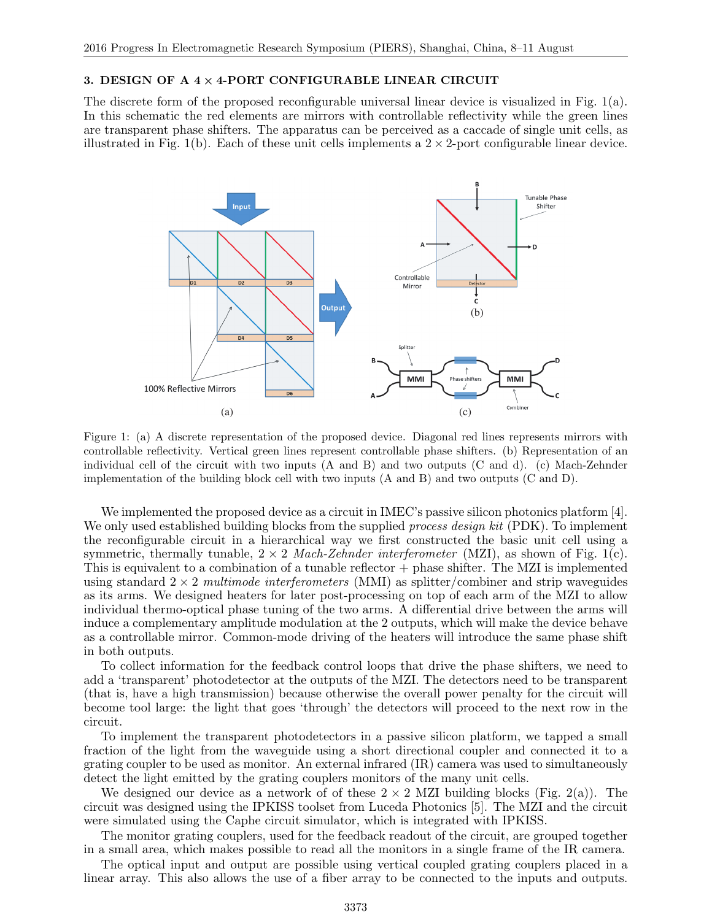#### **3. DESIGN OF A 4** *×* **4-PORT CONFIGURABLE LINEAR CIRCUIT**

The discrete form of the proposed reconfigurable universal linear device is visualized in Fig. 1(a). In this schematic the red elements are mirrors with controllable reflectivity while the green lines are transparent phase shifters. The apparatus can be perceived as a caccade of single unit cells, as illustrated in Fig. 1(b). Each of these unit cells implements a  $2 \times 2$ -port configurable linear device.



Figure 1: (a) A discrete representation of the proposed device. Diagonal red lines represents mirrors with controllable reflectivity. Vertical green lines represent controllable phase shifters. (b) Representation of an individual cell of the circuit with two inputs (A and B) and two outputs (C and d). (c) Mach-Zehnder implementation of the building block cell with two inputs (A and B) and two outputs (C and D).

We implemented the proposed device as a circuit in IMEC's passive silicon photonics platform [4]. We only used established building blocks from the supplied *process design kit* (PDK). To implement the reconfigurable circuit in a hierarchical way we first constructed the basic unit cell using a symmetric, thermally tunable,  $2 \times 2$  *Mach-Zehnder interferometer* (MZI), as shown of Fig. 1(c). This is equivalent to a combination of a tunable reflector  $+$  phase shifter. The MZI is implemented using standard 2 *×* 2 *multimode interferometers* (MMI) as splitter/combiner and strip waveguides as its arms. We designed heaters for later post-processing on top of each arm of the MZI to allow individual thermo-optical phase tuning of the two arms. A differential drive between the arms will induce a complementary amplitude modulation at the 2 outputs, which will make the device behave as a controllable mirror. Common-mode driving of the heaters will introduce the same phase shift in both outputs.

To collect information for the feedback control loops that drive the phase shifters, we need to add a 'transparent' photodetector at the outputs of the MZI. The detectors need to be transparent (that is, have a high transmission) because otherwise the overall power penalty for the circuit will become tool large: the light that goes 'through' the detectors will proceed to the next row in the circuit.

To implement the transparent photodetectors in a passive silicon platform, we tapped a small fraction of the light from the waveguide using a short directional coupler and connected it to a grating coupler to be used as monitor. An external infrared (IR) camera was used to simultaneously detect the light emitted by the grating couplers monitors of the many unit cells.

We designed our device as a network of of these  $2 \times 2$  MZI building blocks (Fig. 2(a)). The circuit was designed using the IPKISS toolset from Luceda Photonics [5]. The MZI and the circuit were simulated using the Caphe circuit simulator, which is integrated with IPKISS.

The monitor grating couplers, used for the feedback readout of the circuit, are grouped together in a small area, which makes possible to read all the monitors in a single frame of the IR camera.

The optical input and output are possible using vertical coupled grating couplers placed in a linear array. This also allows the use of a fiber array to be connected to the inputs and outputs.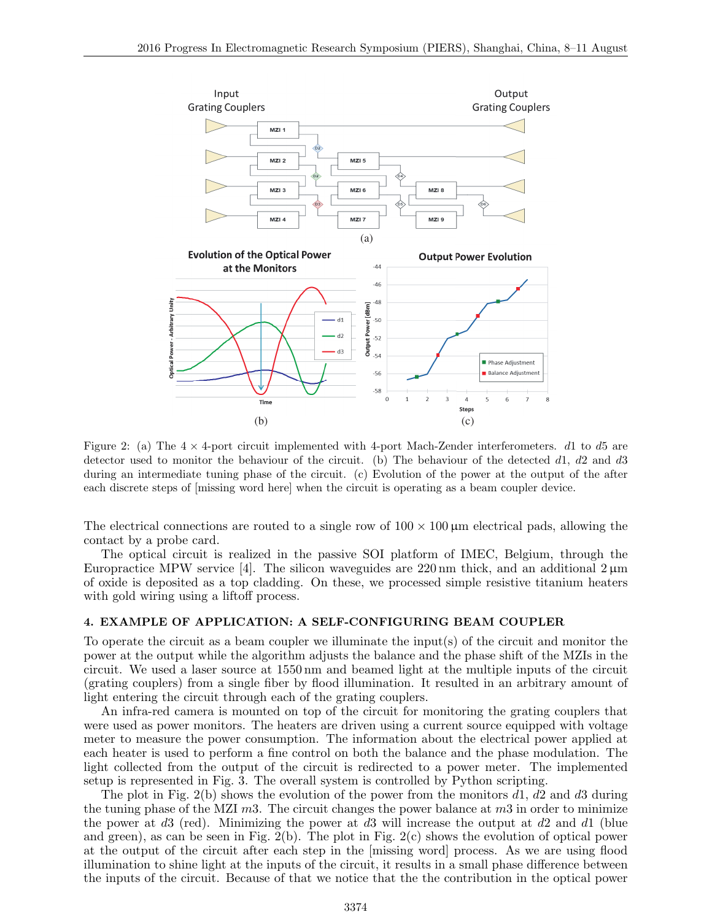

Figure 2: (a) The 4 *×* 4-port circuit implemented with 4-port Mach-Zender interferometers. *d*1 to *d*5 are detector used to monitor the behaviour of the circuit. (b) The behaviour of the detected *d*1, *d*2 and *d*3 during an intermediate tuning phase of the circuit. (c) Evolution of the power at the output of the after each discrete steps of [missing word here] when the circuit is operating as a beam coupler device.

The electrical connections are routed to a single row of  $100 \times 100 \mu m$  electrical pads, allowing the contact by a probe card.

The optical circuit is realized in the passive SOI platform of IMEC, Belgium, through the Europractice MPW service [4]. The silicon waveguides are  $220 \text{ nm}$  thick, and an additional  $2 \mu m$ of oxide is deposited as a top cladding. On these, we processed simple resistive titanium heaters with gold wiring using a liftoff process.

#### **4. EXAMPLE OF APPLICATION: A SELF-CONFIGURING BEAM COUPLER**

To operate the circuit as a beam coupler we illuminate the input(s) of the circuit and monitor the power at the output while the algorithm adjusts the balance and the phase shift of the MZIs in the circuit. We used a laser source at 1550 nm and beamed light at the multiple inputs of the circuit (grating couplers) from a single fiber by flood illumination. It resulted in an arbitrary amount of light entering the circuit through each of the grating couplers.

An infra-red camera is mounted on top of the circuit for monitoring the grating couplers that were used as power monitors. The heaters are driven using a current source equipped with voltage meter to measure the power consumption. The information about the electrical power applied at each heater is used to perform a fine control on both the balance and the phase modulation. The light collected from the output of the circuit is redirected to a power meter. The implemented setup is represented in Fig. 3. The overall system is controlled by Python scripting.

The plot in Fig. 2(b) shows the evolution of the power from the monitors *d*1, *d*2 and *d*3 during the tuning phase of the MZI *m*3. The circuit changes the power balance at *m*3 in order to minimize the power at *d*3 (red). Minimizing the power at *d*3 will increase the output at *d*2 and *d*1 (blue and green), as can be seen in Fig. 2(b). The plot in Fig. 2(c) shows the evolution of optical power at the output of the circuit after each step in the [missing word] process. As we are using flood illumination to shine light at the inputs of the circuit, it results in a small phase difference between the inputs of the circuit. Because of that we notice that the the contribution in the optical power